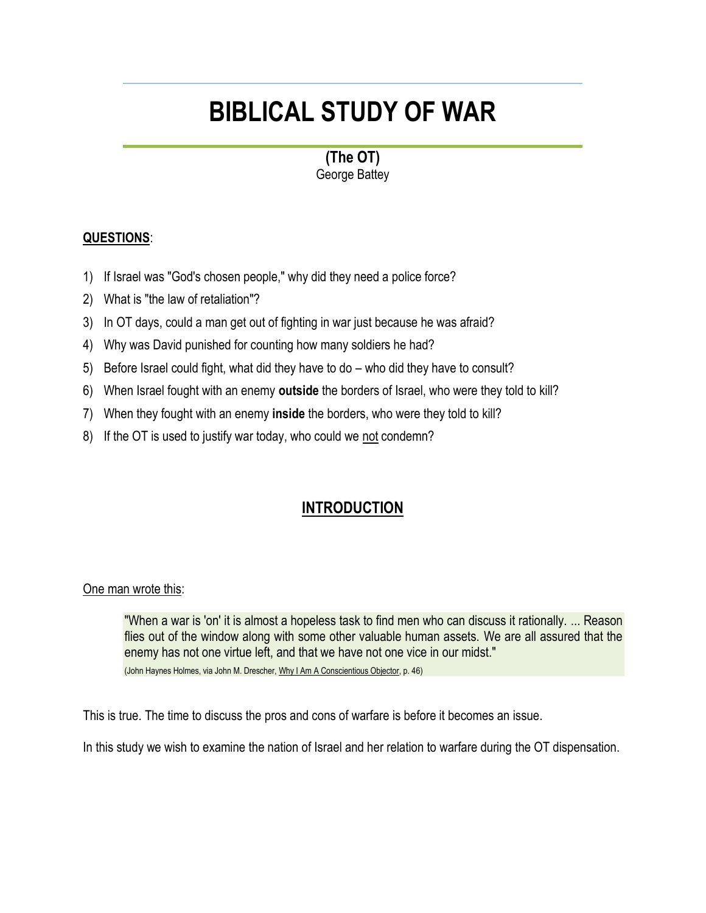# **BIBLICAL STUDY OF WAR**

**(The OT)** George Battey

## **QUESTIONS**:

- 1) If Israel was "God's chosen people," why did they need a police force?
- 2) What is "the law of retaliation"?
- 3) In OT days, could a man get out of fighting in war just because he was afraid?
- 4) Why was David punished for counting how many soldiers he had?
- 5) Before Israel could fight, what did they have to do who did they have to consult?
- 6) When Israel fought with an enemy **outside** the borders of Israel, who were they told to kill?
- 7) When they fought with an enemy **inside** the borders, who were they told to kill?
- 8) If the OT is used to justify war today, who could we not condemn?

# **INTRODUCTION**

## One man wrote this:

"When a war is 'on' it is almost a hopeless task to find men who can discuss it rationally. ... Reason flies out of the window along with some other valuable human assets. We are all assured that the enemy has not one virtue left, and that we have not one vice in our midst." (John Haynes Holmes, via John M. Drescher, Why I Am A Conscientious Objector, p. 46)

This is true. The time to discuss the pros and cons of warfare is before it becomes an issue.

In this study we wish to examine the nation of Israel and her relation to warfare during the OT dispensation.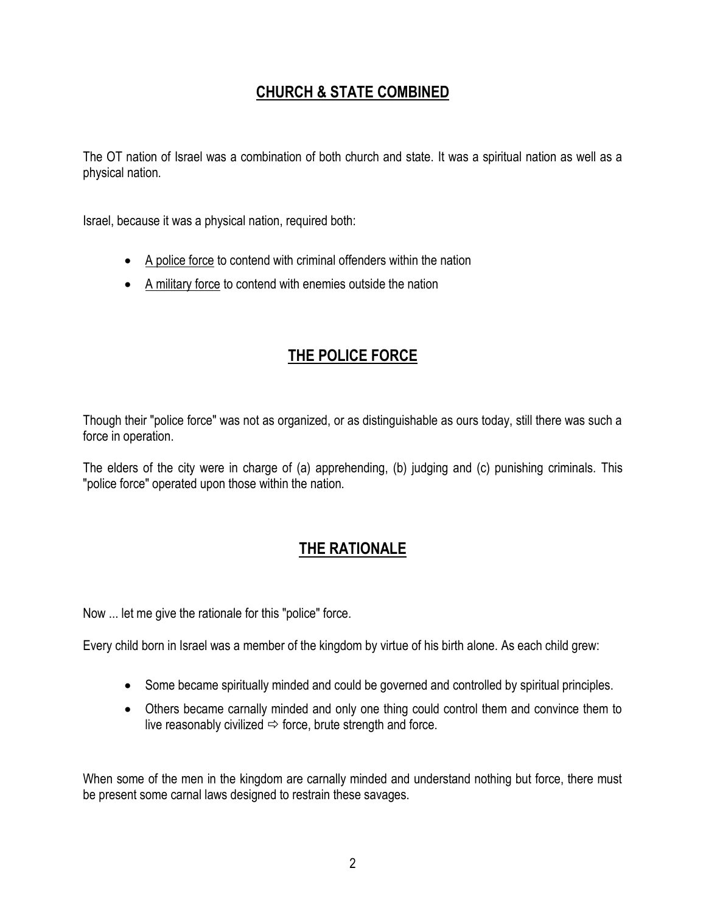# **CHURCH & STATE COMBINED**

The OT nation of Israel was a combination of both church and state. It was a spiritual nation as well as a physical nation.

Israel, because it was a physical nation, required both:

- A police force to contend with criminal offenders within the nation
- A military force to contend with enemies outside the nation

# **THE POLICE FORCE**

Though their "police force" was not as organized, or as distinguishable as ours today, still there was such a force in operation.

The elders of the city were in charge of (a) apprehending, (b) judging and (c) punishing criminals. This "police force" operated upon those within the nation.

# **THE RATIONALE**

Now ... let me give the rationale for this "police" force.

Every child born in Israel was a member of the kingdom by virtue of his birth alone. As each child grew:

- Some became spiritually minded and could be governed and controlled by spiritual principles.
- Others became carnally minded and only one thing could control them and convince them to live reasonably civilized  $\Rightarrow$  force, brute strength and force.

When some of the men in the kingdom are carnally minded and understand nothing but force, there must be present some carnal laws designed to restrain these savages.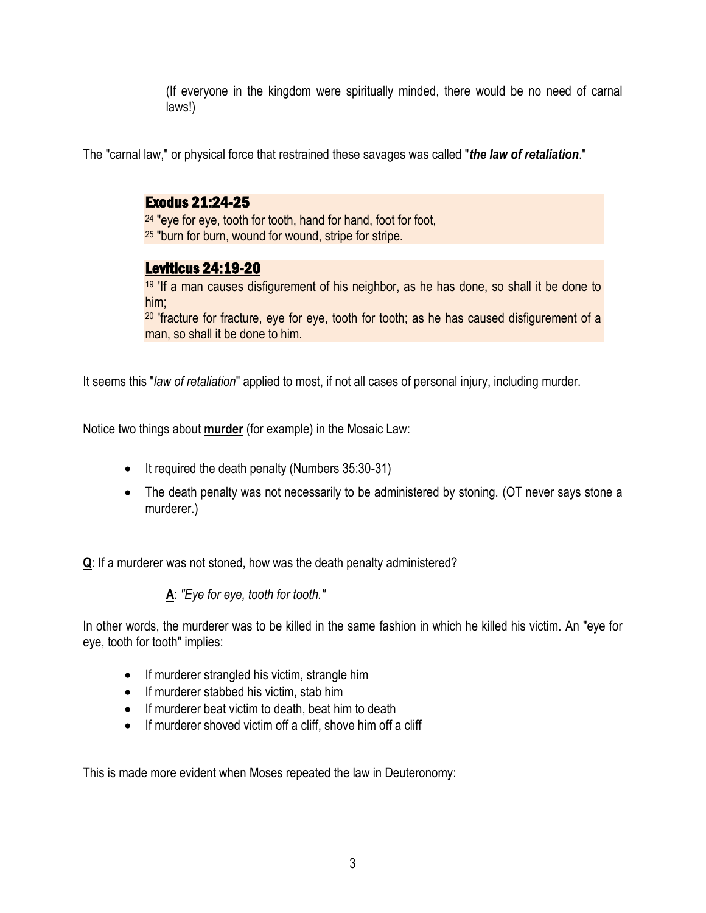(If everyone in the kingdom were spiritually minded, there would be no need of carnal laws!)

The "carnal law," or physical force that restrained these savages was called "*the law of retaliation*."

# Exodus 21:24-25

<sup>24</sup> "eye for eye, tooth for tooth, hand for hand, foot for foot, <sup>25</sup> "burn for burn, wound for wound, stripe for stripe.

# Leviticus 24:19-20

<sup>19</sup> 'If a man causes disfigurement of his neighbor, as he has done, so shall it be done to him;

<sup>20</sup> 'fracture for fracture, eye for eye, tooth for tooth; as he has caused disfigurement of a man, so shall it be done to him.

It seems this "*law of retaliation*" applied to most, if not all cases of personal injury, including murder.

Notice two things about **murder** (for example) in the Mosaic Law:

- It required the death penalty (Numbers 35:30-31)
- The death penalty was not necessarily to be administered by stoning. (OT never says stone a murderer.)

**Q**: If a murderer was not stoned, how was the death penalty administered?

**A**: *"Eye for eye, tooth for tooth."*

In other words, the murderer was to be killed in the same fashion in which he killed his victim. An "eye for eye, tooth for tooth" implies:

- If murderer strangled his victim, strangle him
- If murderer stabbed his victim, stab him
- If murderer beat victim to death, beat him to death
- If murderer shoved victim off a cliff, shove him off a cliff

This is made more evident when Moses repeated the law in Deuteronomy: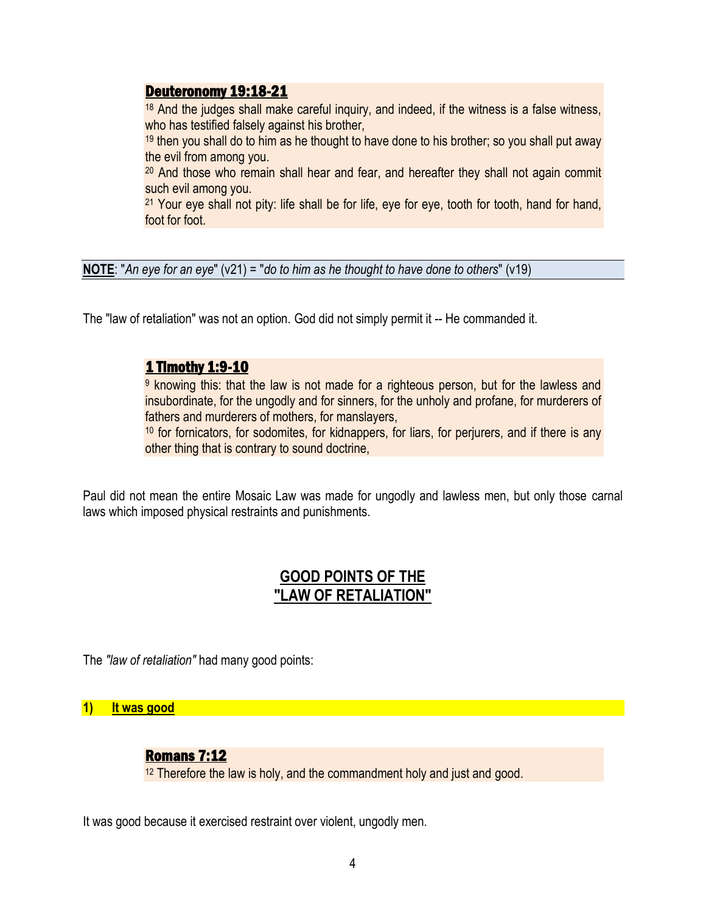## Deuteronomy 19:18-21

<sup>18</sup> And the judges shall make careful inquiry, and indeed, if the witness is a false witness, who has testified falsely against his brother,

 $19$  then you shall do to him as he thought to have done to his brother; so you shall put away the evil from among you.

<sup>20</sup> And those who remain shall hear and fear, and hereafter they shall not again commit such evil among you.

<sup>21</sup> Your eye shall not pity: life shall be for life, eye for eye, tooth for tooth, hand for hand, foot for foot.

**NOTE**: "*An eye for an eye*" (v21) = "*do to him as he thought to have done to others*" (v19)

The "law of retaliation" was not an option. God did not simply permit it -- He commanded it.

## 1 Timothy 1:9-10

<sup>9</sup> knowing this: that the law is not made for a righteous person, but for the lawless and insubordinate, for the ungodly and for sinners, for the unholy and profane, for murderers of fathers and murderers of mothers, for manslayers,

<sup>10</sup> for fornicators, for sodomites, for kidnappers, for liars, for perjurers, and if there is any other thing that is contrary to sound doctrine,

Paul did not mean the entire Mosaic Law was made for ungodly and lawless men, but only those carnal laws which imposed physical restraints and punishments.

# **GOOD POINTS OF THE "LAW OF RETALIATION"**

The *"law of retaliation"* had many good points:

**1) It was good**

## Romans 7:12

<sup>12</sup> Therefore the law is holy, and the commandment holy and just and good.

It was good because it exercised restraint over violent, ungodly men.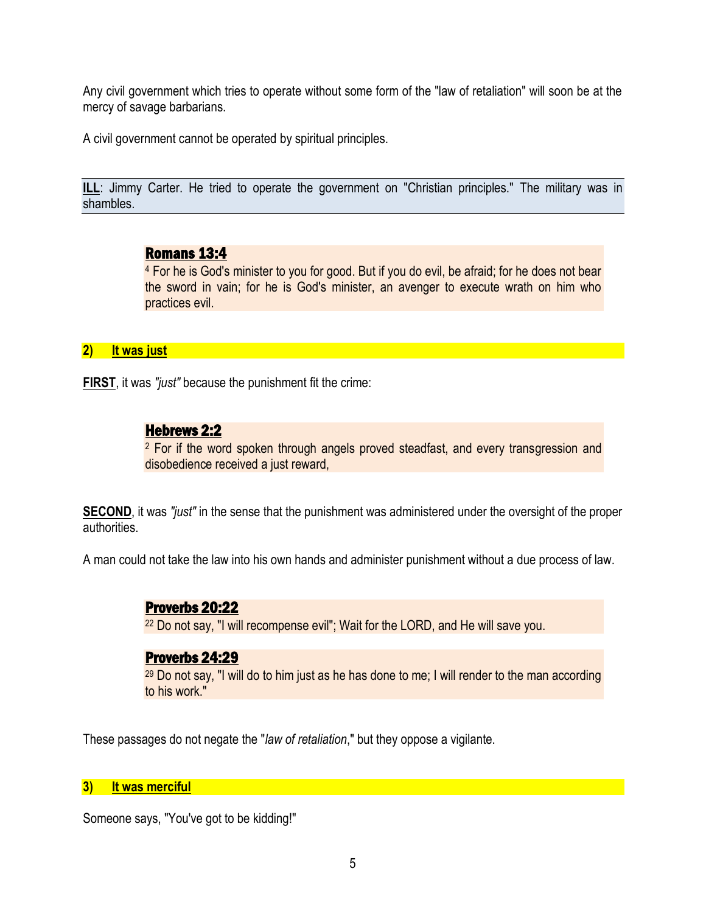Any civil government which tries to operate without some form of the "law of retaliation" will soon be at the mercy of savage barbarians.

A civil government cannot be operated by spiritual principles.

**ILL:** Jimmy Carter. He tried to operate the government on "Christian principles." The military was in shambles.

## Romans 13:4

<sup>4</sup> For he is God's minister to you for good. But if you do evil, be afraid; for he does not bear the sword in vain; for he is God's minister, an avenger to execute wrath on him who practices evil.

## **2) It was just**

**FIRST**, it was *"just"* because the punishment fit the crime:

# Hebrews 2:2

<sup>2</sup> For if the word spoken through angels proved steadfast, and every transgression and disobedience received a just reward,

**SECOND**, it was *"just"* in the sense that the punishment was administered under the oversight of the proper authorities.

A man could not take the law into his own hands and administer punishment without a due process of law.

# Proverbs 20:22

<sup>22</sup> Do not say, "I will recompense evil"; Wait for the LORD, and He will save you.

# Proverbs 24:29

 $29$  Do not say, "I will do to him just as he has done to me; I will render to the man according to his work."

These passages do not negate the "*law of retaliation*," but they oppose a vigilante.

#### **3) It was merciful**

Someone says, "You've got to be kidding!"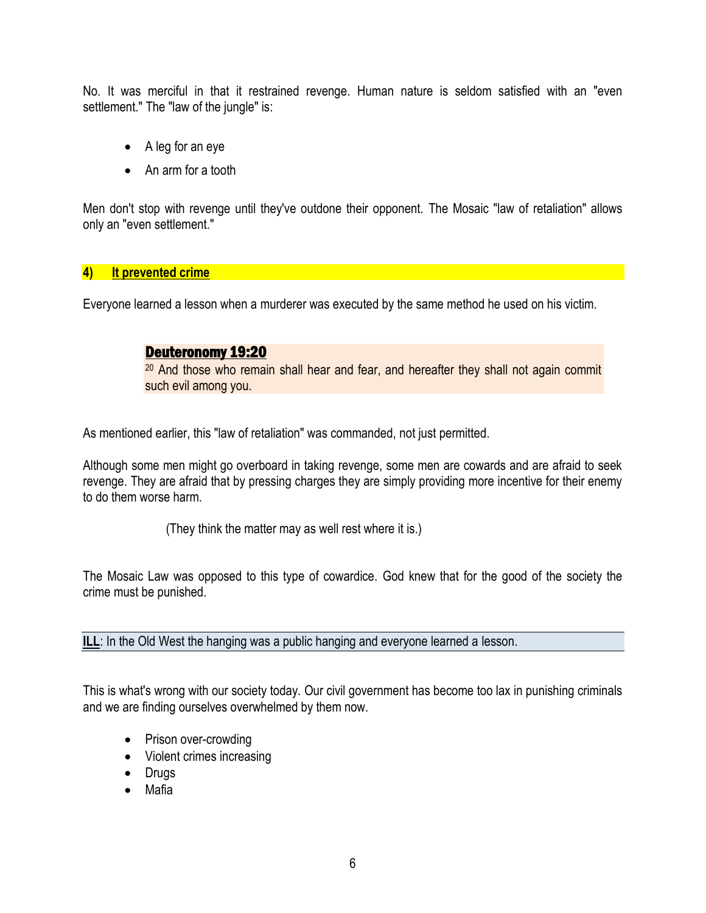No. It was merciful in that it restrained revenge. Human nature is seldom satisfied with an "even settlement." The "law of the jungle" is:

- A leg for an eye
- An arm for a tooth

Men don't stop with revenge until they've outdone their opponent. The Mosaic "law of retaliation" allows only an "even settlement."

#### **4) It prevented crime**

Everyone learned a lesson when a murderer was executed by the same method he used on his victim.

## Deuteronomy 19:20

<sup>20</sup> And those who remain shall hear and fear, and hereafter they shall not again commit such evil among you.

As mentioned earlier, this "law of retaliation" was commanded, not just permitted.

Although some men might go overboard in taking revenge, some men are cowards and are afraid to seek revenge. They are afraid that by pressing charges they are simply providing more incentive for their enemy to do them worse harm.

(They think the matter may as well rest where it is.)

The Mosaic Law was opposed to this type of cowardice. God knew that for the good of the society the crime must be punished.

**ILL:** In the Old West the hanging was a public hanging and everyone learned a lesson.

This is what's wrong with our society today. Our civil government has become too lax in punishing criminals and we are finding ourselves overwhelmed by them now.

- Prison over-crowding
- Violent crimes increasing
- Drugs
- Mafia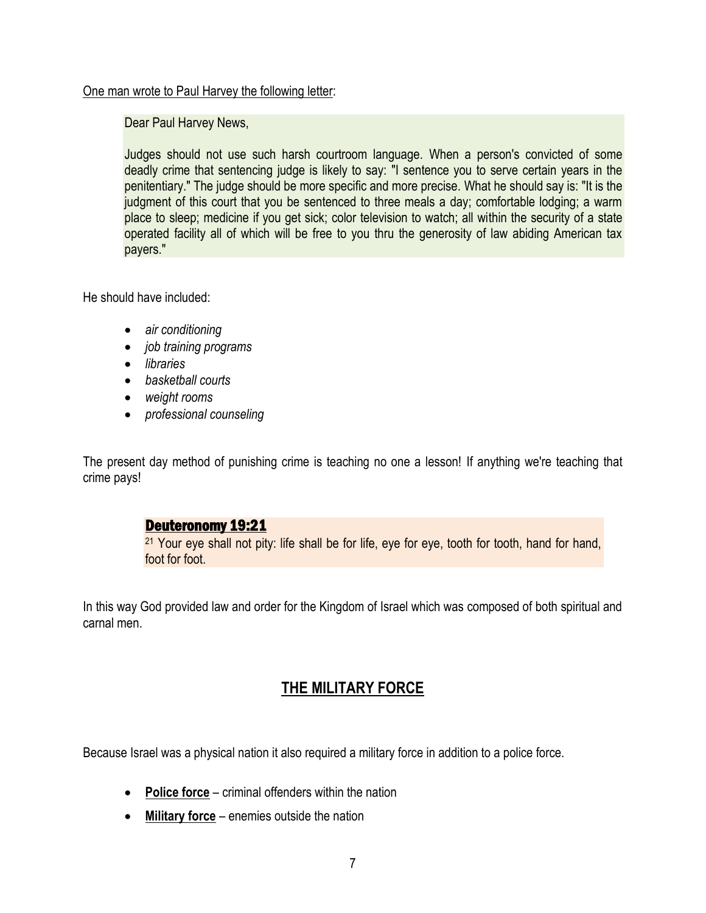#### One man wrote to Paul Harvey the following letter:

Dear Paul Harvey News,

Judges should not use such harsh courtroom language. When a person's convicted of some deadly crime that sentencing judge is likely to say: "I sentence you to serve certain years in the penitentiary." The judge should be more specific and more precise. What he should say is: "It is the judgment of this court that you be sentenced to three meals a day; comfortable lodging; a warm place to sleep; medicine if you get sick; color television to watch; all within the security of a state operated facility all of which will be free to you thru the generosity of law abiding American tax payers."

He should have included:

- *air conditioning*
- *job training programs*
- *libraries*
- *basketball courts*
- *weight rooms*
- *professional counseling*

The present day method of punishing crime is teaching no one a lesson! If anything we're teaching that crime pays!

# Deuteronomy 19:21

<sup>21</sup> Your eye shall not pity: life shall be for life, eye for eye, tooth for tooth, hand for hand, foot for foot.

In this way God provided law and order for the Kingdom of Israel which was composed of both spiritual and carnal men.

# **THE MILITARY FORCE**

Because Israel was a physical nation it also required a military force in addition to a police force.

- **Police force** criminal offenders within the nation
- **Military force** enemies outside the nation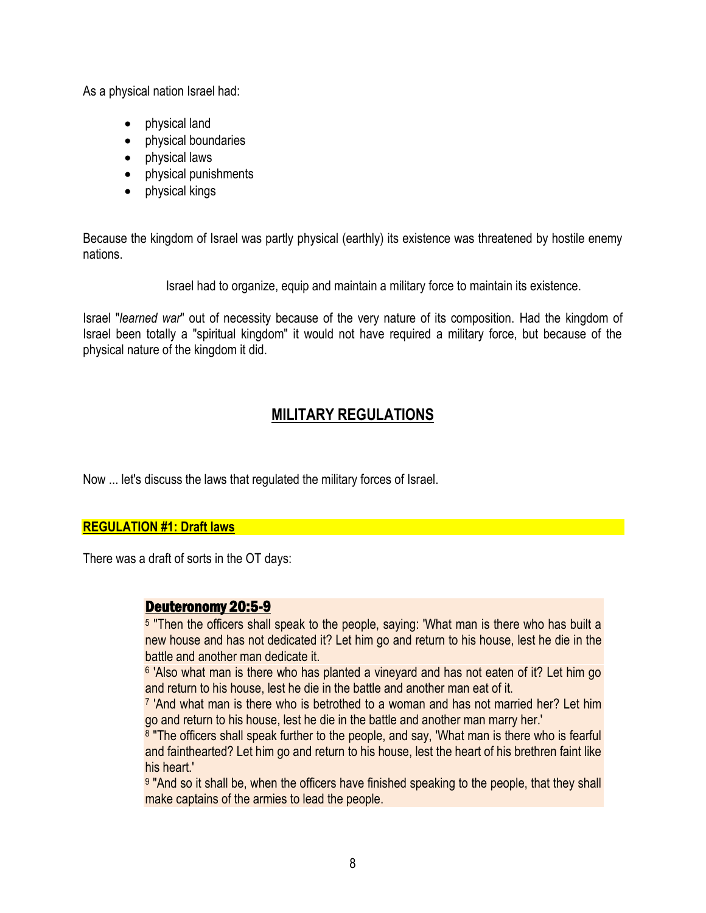As a physical nation Israel had:

- physical land
- physical boundaries
- physical laws
- physical punishments
- physical kings

Because the kingdom of Israel was partly physical (earthly) its existence was threatened by hostile enemy nations.

Israel had to organize, equip and maintain a military force to maintain its existence.

Israel "*learned war*" out of necessity because of the very nature of its composition. Had the kingdom of Israel been totally a "spiritual kingdom" it would not have required a military force, but because of the physical nature of the kingdom it did.

# **MILITARY REGULATIONS**

Now ... let's discuss the laws that regulated the military forces of Israel.

## **REGULATION #1: Draft laws**

There was a draft of sorts in the OT days:

## Deuteronomy 20:5-9

<sup>5</sup> "Then the officers shall speak to the people, saying: 'What man is there who has built a new house and has not dedicated it? Let him go and return to his house, lest he die in the battle and another man dedicate it.

<sup>6</sup> 'Also what man is there who has planted a vineyard and has not eaten of it? Let him go and return to his house, lest he die in the battle and another man eat of it.

<sup>7</sup> 'And what man is there who is betrothed to a woman and has not married her? Let him go and return to his house, lest he die in the battle and another man marry her.'

<sup>8</sup> "The officers shall speak further to the people, and say, 'What man is there who is fearful and fainthearted? Let him go and return to his house, lest the heart of his brethren faint like his heart.'

<sup>9</sup> "And so it shall be, when the officers have finished speaking to the people, that they shall make captains of the armies to lead the people.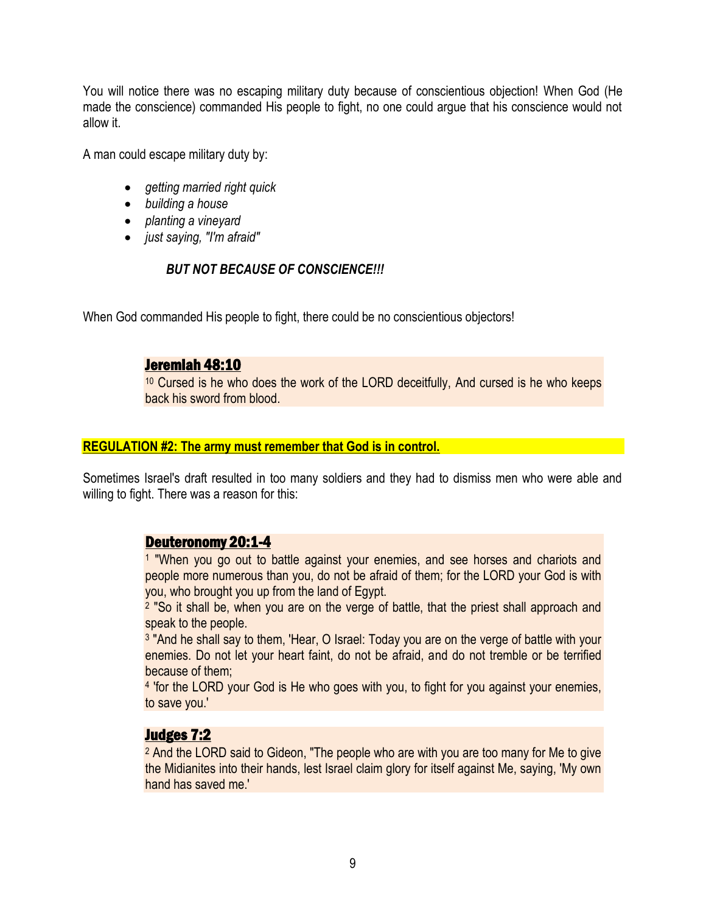You will notice there was no escaping military duty because of conscientious objection! When God (He made the conscience) commanded His people to fight, no one could argue that his conscience would not allow it.

A man could escape military duty by:

- *getting married right quick*
- *building a house*
- *planting a vineyard*
- *just saying, "I'm afraid"*

# *BUT NOT BECAUSE OF CONSCIENCE!!!*

When God commanded His people to fight, there could be no conscientious objectors!

## Jeremiah 48:10

<sup>10</sup> Cursed is he who does the work of the LORD deceitfully, And cursed is he who keeps back his sword from blood.

#### **REGULATION #2: The army must remember that God is in control.**

Sometimes Israel's draft resulted in too many soldiers and they had to dismiss men who were able and willing to fight. There was a reason for this:

# Deuteronomy 20:1-4

<sup>1</sup> "When you go out to battle against your enemies, and see horses and chariots and people more numerous than you, do not be afraid of them; for the LORD your God is with you, who brought you up from the land of Egypt.

2 "So it shall be, when you are on the verge of battle, that the priest shall approach and speak to the people.

<sup>3</sup> "And he shall say to them, 'Hear, O Israel: Today you are on the verge of battle with your enemies. Do not let your heart faint, do not be afraid, and do not tremble or be terrified because of them;

4 'for the LORD your God is He who goes with you, to fight for you against your enemies, to save you.'

# Judges 7:2

<sup>2</sup> And the LORD said to Gideon, "The people who are with you are too many for Me to give the Midianites into their hands, lest Israel claim glory for itself against Me, saying, 'My own hand has saved me.'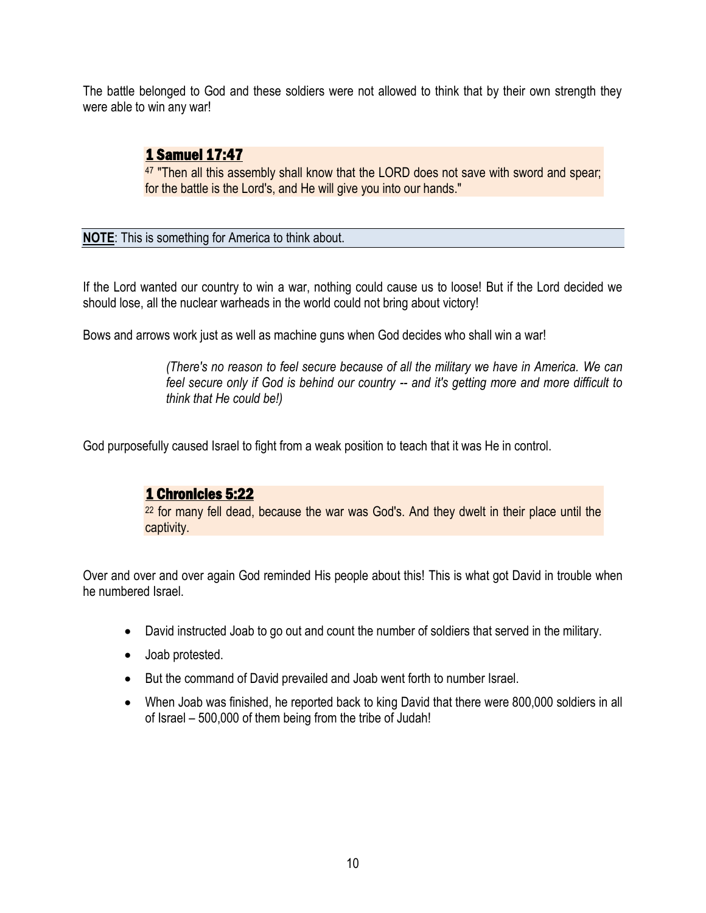The battle belonged to God and these soldiers were not allowed to think that by their own strength they were able to win any war!

# 1 Samuel 17:47

<sup>47</sup> "Then all this assembly shall know that the LORD does not save with sword and spear; for the battle is the Lord's, and He will give you into our hands."

**NOTE**: This is something for America to think about.

If the Lord wanted our country to win a war, nothing could cause us to loose! But if the Lord decided we should lose, all the nuclear warheads in the world could not bring about victory!

Bows and arrows work just as well as machine guns when God decides who shall win a war!

*(There's no reason to feel secure because of all the military we have in America. We can feel secure only if God is behind our country -- and it's getting more and more difficult to think that He could be!)*

God purposefully caused Israel to fight from a weak position to teach that it was He in control.

# 1 Chronicles 5:22

<sup>22</sup> for many fell dead, because the war was God's. And they dwelt in their place until the captivity.

Over and over and over again God reminded His people about this! This is what got David in trouble when he numbered Israel

- David instructed Joab to go out and count the number of soldiers that served in the military.
- Joab protested.
- But the command of David prevailed and Joab went forth to number Israel.
- When Joab was finished, he reported back to king David that there were 800,000 soldiers in all of Israel – 500,000 of them being from the tribe of Judah!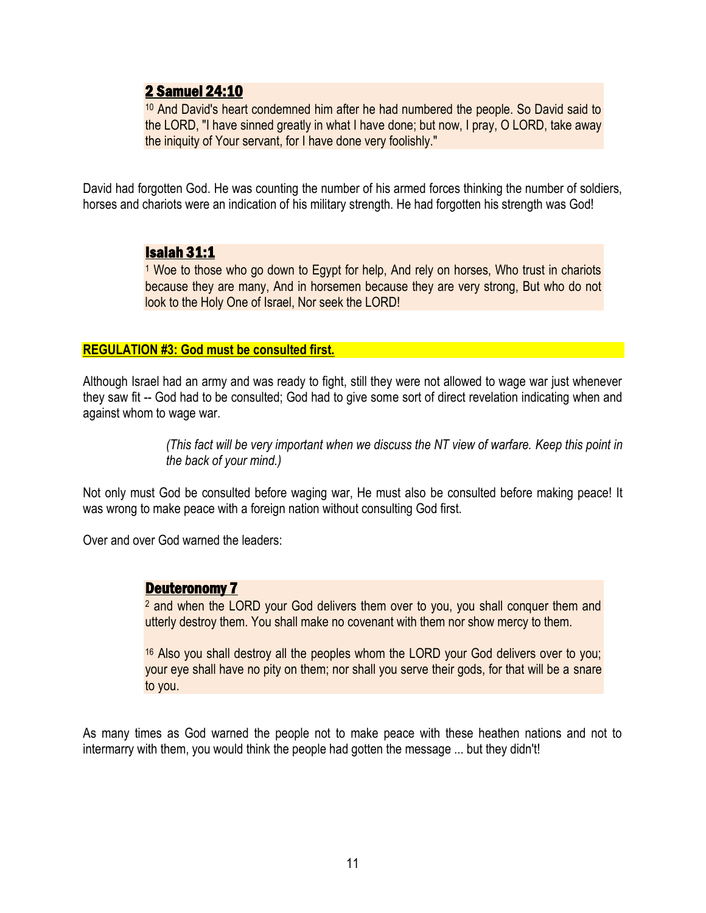# 2 Samuel 24:10

<sup>10</sup> And David's heart condemned him after he had numbered the people. So David said to the LORD, "I have sinned greatly in what I have done; but now, I pray, O LORD, take away the iniquity of Your servant, for I have done very foolishly."

David had forgotten God. He was counting the number of his armed forces thinking the number of soldiers, horses and chariots were an indication of his military strength. He had forgotten his strength was God!

## Isaiah 31:1

<sup>1</sup> Woe to those who go down to Egypt for help, And rely on horses, Who trust in chariots because they are many, And in horsemen because they are very strong, But who do not look to the Holy One of Israel, Nor seek the LORD!

#### **REGULATION #3: God must be consulted first.**

Although Israel had an army and was ready to fight, still they were not allowed to wage war just whenever they saw fit -- God had to be consulted; God had to give some sort of direct revelation indicating when and against whom to wage war.

> *(This fact will be very important when we discuss the NT view of warfare. Keep this point in the back of your mind.)*

Not only must God be consulted before waging war, He must also be consulted before making peace! It was wrong to make peace with a foreign nation without consulting God first.

Over and over God warned the leaders:

## Deuteronomy 7

<sup>2</sup> and when the LORD your God delivers them over to you, you shall conquer them and utterly destroy them. You shall make no covenant with them nor show mercy to them.

<sup>16</sup> Also you shall destroy all the peoples whom the LORD your God delivers over to you; your eye shall have no pity on them; nor shall you serve their gods, for that will be a snare to you.

As many times as God warned the people not to make peace with these heathen nations and not to intermarry with them, you would think the people had gotten the message ... but they didn't!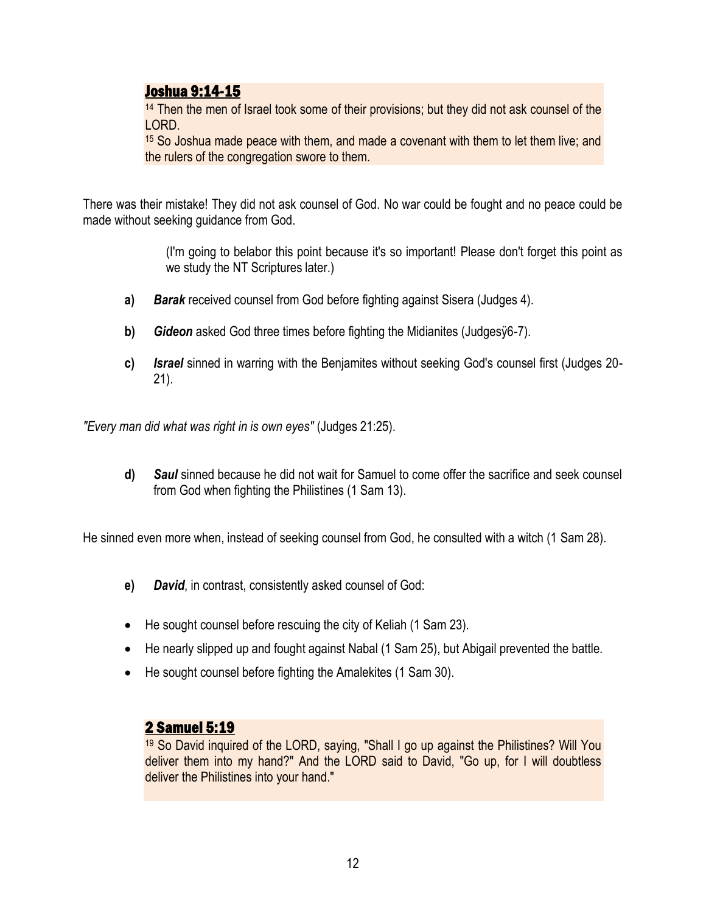# Joshua 9:14-15

<sup>14</sup> Then the men of Israel took some of their provisions; but they did not ask counsel of the LORD.

<sup>15</sup> So Joshua made peace with them, and made a covenant with them to let them live; and the rulers of the congregation swore to them.

There was their mistake! They did not ask counsel of God. No war could be fought and no peace could be made without seeking guidance from God.

> (I'm going to belabor this point because it's so important! Please don't forget this point as we study the NT Scriptures later.)

- **a)** *Barak* received counsel from God before fighting against Sisera (Judges 4).
- **b)** *Gideon* asked God three times before fighting the Midianites (Judgesÿ6-7).
- **c)** *Israel* sinned in warring with the Benjamites without seeking God's counsel first (Judges 20- 21).

*"Every man did what was right in is own eyes"* (Judges 21:25).

**d)** *Saul* sinned because he did not wait for Samuel to come offer the sacrifice and seek counsel from God when fighting the Philistines (1 Sam 13).

He sinned even more when, instead of seeking counsel from God, he consulted with a witch (1 Sam 28).

- **e)** *David*, in contrast, consistently asked counsel of God:
- He sought counsel before rescuing the city of Keliah (1 Sam 23).
- He nearly slipped up and fought against Nabal (1 Sam 25), but Abigail prevented the battle.
- He sought counsel before fighting the Amalekites (1 Sam 30).

# 2 Samuel 5:19

<sup>19</sup> So David inquired of the LORD, saying, "Shall I go up against the Philistines? Will You deliver them into my hand?" And the LORD said to David, "Go up, for I will doubtless deliver the Philistines into your hand."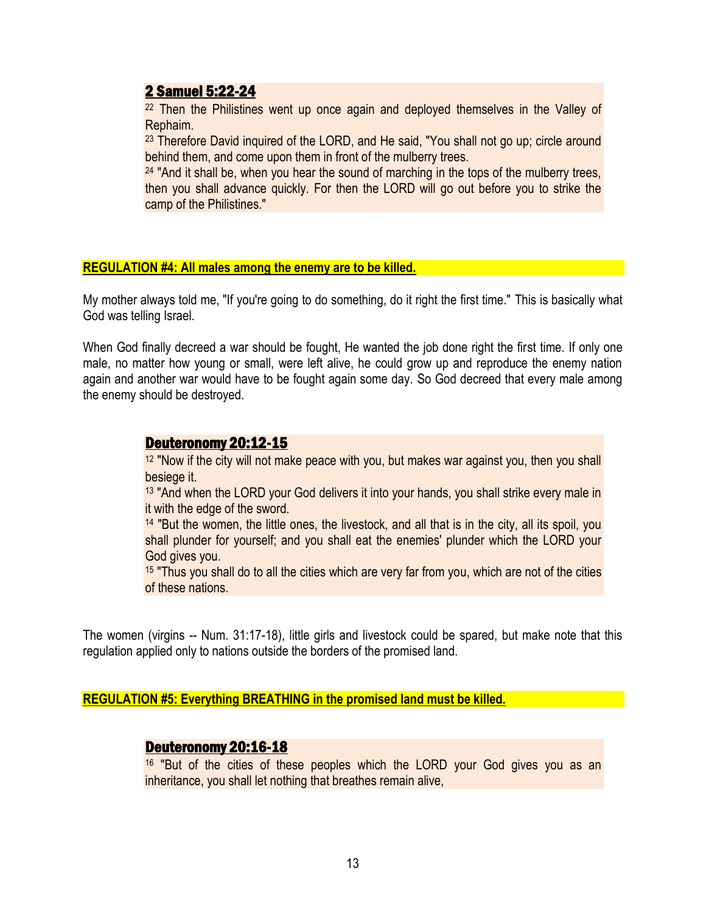# 2 Samuel 5:22-24

<sup>22</sup> Then the Philistines went up once again and deployed themselves in the Valley of Rephaim.

<sup>23</sup> Therefore David inquired of the LORD, and He said, "You shall not go up; circle around behind them, and come upon them in front of the mulberry trees.

 $24$  "And it shall be, when you hear the sound of marching in the tops of the mulberry trees, then you shall advance quickly. For then the LORD will go out before you to strike the camp of the Philistines."

#### **REGULATION #4: All males among the enemy are to be killed.**

My mother always told me, "If you're going to do something, do it right the first time." This is basically what God was telling Israel.

When God finally decreed a war should be fought, He wanted the job done right the first time. If only one male, no matter how young or small, were left alive, he could grow up and reproduce the enemy nation again and another war would have to be fought again some day. So God decreed that every male among the enemy should be destroyed.

## Deuteronomy 20:12-15

<sup>12</sup> "Now if the city will not make peace with you, but makes war against you, then you shall besiege it.

<sup>13</sup> "And when the LORD your God delivers it into your hands, you shall strike every male in it with the edge of the sword.

<sup>14</sup> "But the women, the little ones, the livestock, and all that is in the city, all its spoil, you shall plunder for yourself; and you shall eat the enemies' plunder which the LORD your God gives you.

<sup>15</sup> "Thus you shall do to all the cities which are very far from you, which are not of the cities of these nations.

The women (virgins -- Num. 31:17-18), little girls and livestock could be spared, but make note that this regulation applied only to nations outside the borders of the promised land.

**REGULATION #5: Everything BREATHING in the promised land must be killed.**

## Deuteronomy 20:16-18

<sup>16</sup> "But of the cities of these peoples which the LORD your God gives you as an inheritance, you shall let nothing that breathes remain alive,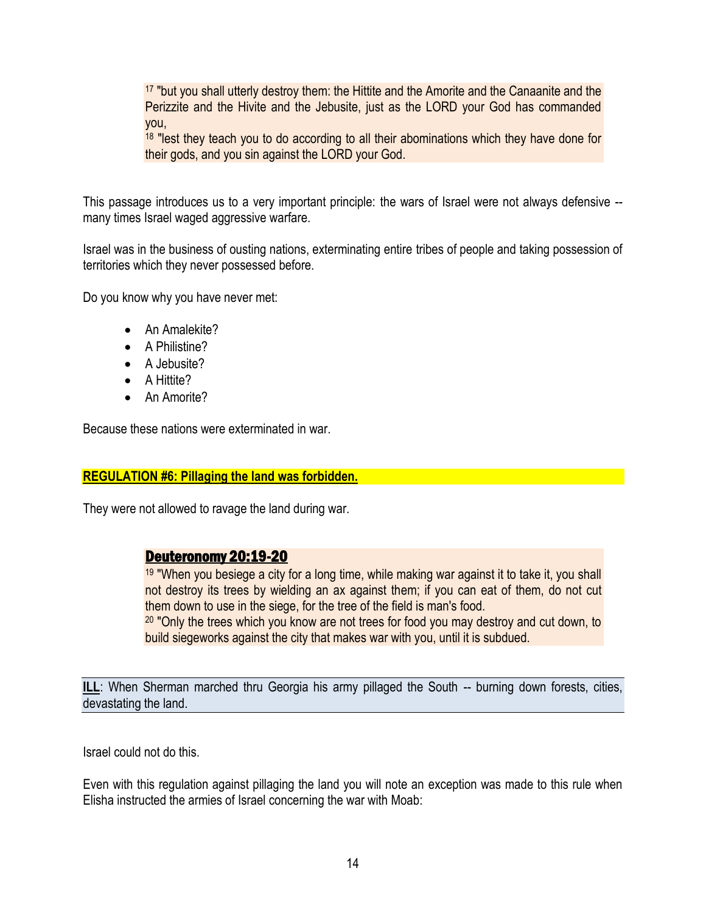<sup>17</sup> "but you shall utterly destroy them: the Hittite and the Amorite and the Canaanite and the Perizzite and the Hivite and the Jebusite, just as the LORD your God has commanded you,

<sup>18</sup> "lest they teach you to do according to all their abominations which they have done for their gods, and you sin against the LORD your God.

This passage introduces us to a very important principle: the wars of Israel were not always defensive - many times Israel waged aggressive warfare.

Israel was in the business of ousting nations, exterminating entire tribes of people and taking possession of territories which they never possessed before.

Do you know why you have never met:

- An Amalekite?
- A Philistine?
- A Jebusite?
- A Hittite?
- An Amorite?

Because these nations were exterminated in war.

#### **REGULATION #6: Pillaging the land was forbidden.**

They were not allowed to ravage the land during war.

## Deuteronomy 20:19-20

<sup>19</sup> "When you besiege a city for a long time, while making war against it to take it, you shall not destroy its trees by wielding an ax against them; if you can eat of them, do not cut them down to use in the siege, for the tree of the field is man's food. <sup>20</sup> "Only the trees which you know are not trees for food you may destroy and cut down, to

build siegeworks against the city that makes war with you, until it is subdued.

**ILL:** When Sherman marched thru Georgia his army pillaged the South -- burning down forests, cities, devastating the land.

Israel could not do this.

Even with this regulation against pillaging the land you will note an exception was made to this rule when Elisha instructed the armies of Israel concerning the war with Moab: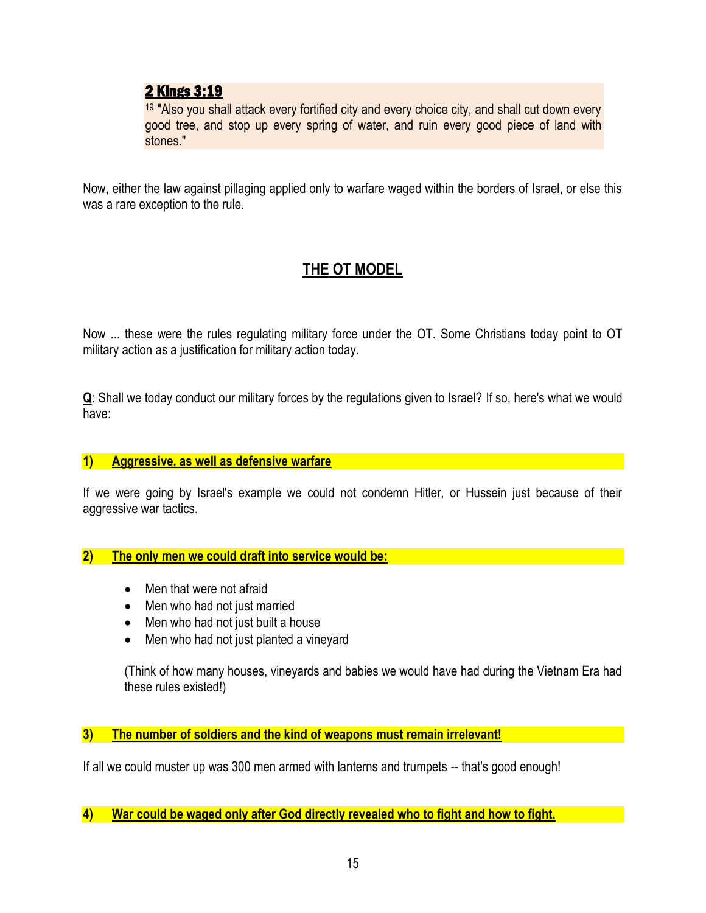# 2 Kings 3:19

<sup>19</sup> "Also you shall attack every fortified city and every choice city, and shall cut down every good tree, and stop up every spring of water, and ruin every good piece of land with stones."

Now, either the law against pillaging applied only to warfare waged within the borders of Israel, or else this was a rare exception to the rule.

# **THE OT MODEL**

Now ... these were the rules regulating military force under the OT. Some Christians today point to OT military action as a justification for military action today.

**Q**: Shall we today conduct our military forces by the regulations given to Israel? If so, here's what we would have:

#### **1) Aggressive, as well as defensive warfare**

If we were going by Israel's example we could not condemn Hitler, or Hussein just because of their aggressive war tactics.

#### **2) The only men we could draft into service would be:**

- Men that were not afraid
- Men who had not just married
- Men who had not just built a house
- Men who had not just planted a vineyard

(Think of how many houses, vineyards and babies we would have had during the Vietnam Era had these rules existed!)

## **3) The number of soldiers and the kind of weapons must remain irrelevant!**

If all we could muster up was 300 men armed with lanterns and trumpets -- that's good enough!

**4) War could be waged only after God directly revealed who to fight and how to fight.**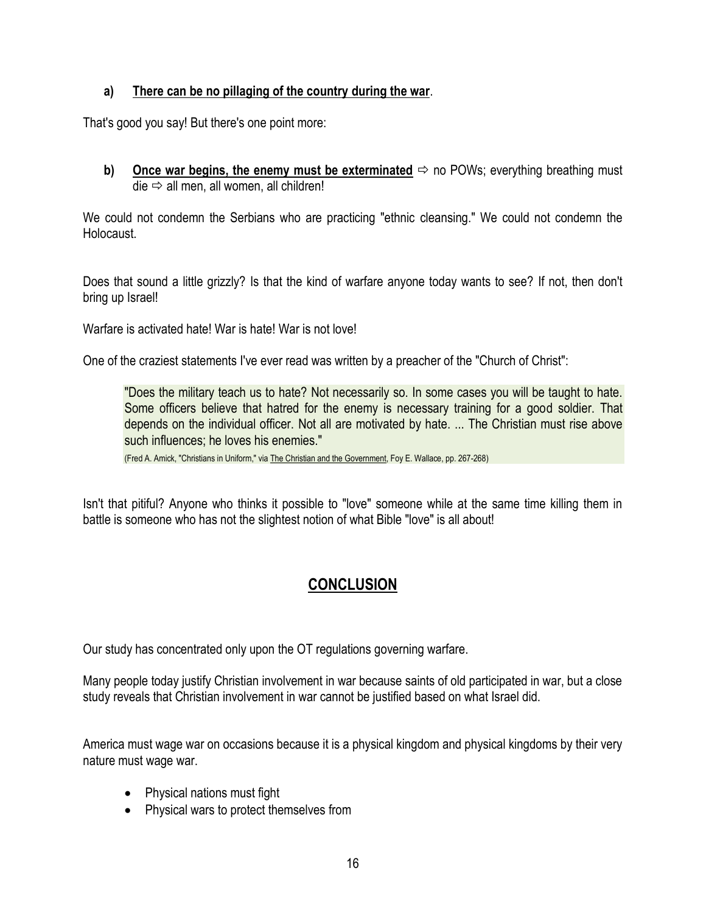## **a) There can be no pillaging of the country during the war**.

That's good you say! But there's one point more:

**b)** Once war begins, the enemy must be exterminated  $\Rightarrow$  no POWs; everything breathing must  $die \Rightarrow$  all men, all women, all children!

We could not condemn the Serbians who are practicing "ethnic cleansing." We could not condemn the Holocaust.

Does that sound a little grizzly? Is that the kind of warfare anyone today wants to see? If not, then don't bring up Israel!

Warfare is activated hate! War is hate! War is not love!

One of the craziest statements I've ever read was written by a preacher of the "Church of Christ":

"Does the military teach us to hate? Not necessarily so. In some cases you will be taught to hate. Some officers believe that hatred for the enemy is necessary training for a good soldier. That depends on the individual officer. Not all are motivated by hate. ... The Christian must rise above such influences; he loves his enemies."

(Fred A. Amick, "Christians in Uniform," via The Christian and the Government, Foy E. Wallace, pp. 267-268)

Isn't that pitiful? Anyone who thinks it possible to "love" someone while at the same time killing them in battle is someone who has not the slightest notion of what Bible "love" is all about!

# **CONCLUSION**

Our study has concentrated only upon the OT regulations governing warfare.

Many people today justify Christian involvement in war because saints of old participated in war, but a close study reveals that Christian involvement in war cannot be justified based on what Israel did.

America must wage war on occasions because it is a physical kingdom and physical kingdoms by their very nature must wage war.

- Physical nations must fight
- Physical wars to protect themselves from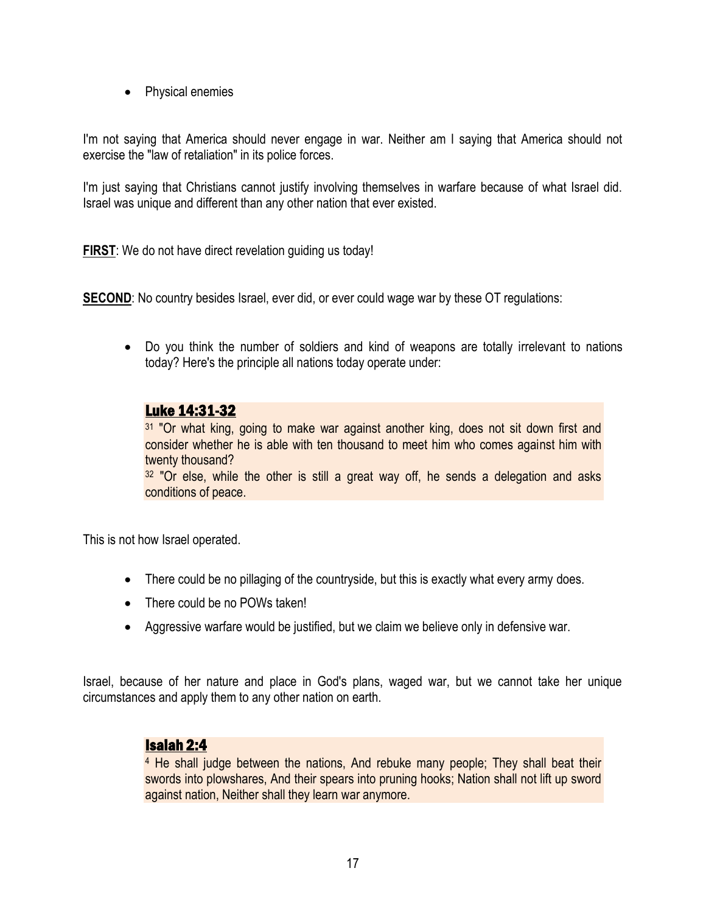• Physical enemies

I'm not saying that America should never engage in war. Neither am I saying that America should not exercise the "law of retaliation" in its police forces.

I'm just saying that Christians cannot justify involving themselves in warfare because of what Israel did. Israel was unique and different than any other nation that ever existed.

**FIRST**: We do not have direct revelation guiding us today!

**SECOND:** No country besides Israel, ever did, or ever could wage war by these OT regulations:

 Do you think the number of soldiers and kind of weapons are totally irrelevant to nations today? Here's the principle all nations today operate under:

# Luke 14:31-32

<sup>31</sup> "Or what king, going to make war against another king, does not sit down first and consider whether he is able with ten thousand to meet him who comes against him with twenty thousand?

<sup>32</sup> "Or else, while the other is still a great way off, he sends a delegation and asks conditions of peace.

This is not how Israel operated.

- There could be no pillaging of the countryside, but this is exactly what every army does.
- There could be no POWs taken!
- Aggressive warfare would be justified, but we claim we believe only in defensive war.

Israel, because of her nature and place in God's plans, waged war, but we cannot take her unique circumstances and apply them to any other nation on earth.

#### Isaiah 2:4

<sup>4</sup> He shall judge between the nations, And rebuke many people; They shall beat their swords into plowshares, And their spears into pruning hooks; Nation shall not lift up sword against nation, Neither shall they learn war anymore.